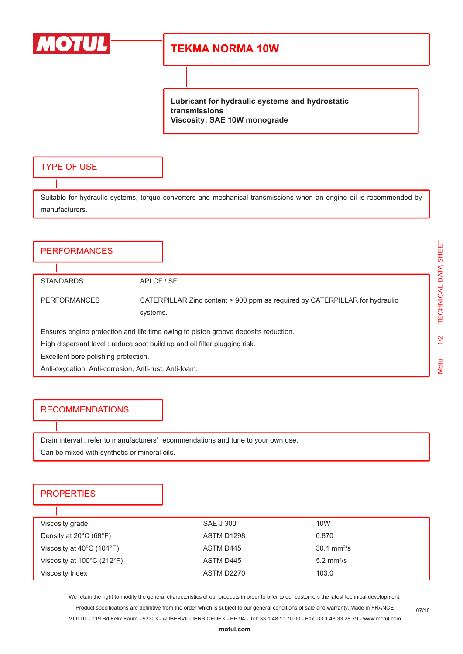

## **TEKMA NORMA 10W**

**Lubricant for hydraulic systems and hydrostatic transmissions Viscosity: SAE 10W monograde**

#### TYPE OF USE

Suitable for hydraulic systems, torque converters and mechanical transmissions when an engine oil is recommended by manufacturers.

# **PERFORMANCES** STANDARDS API CF / SF PERFORMANCES CATERPILLAR Zinc content > 900 ppm as required by CATERPILLAR for hydraulic systems. Ensures engine protection and life time owing to piston groove deposits reduction. High dispersant level : reduce soot build up and oil filter plugging risk. Excellent bore polishing protection. Anti-oxydation, Anti-corrosion, Anti-rust, Anti-foam.

#### RECOMMENDATIONS

Drain interval : refer to manufacturers' recommendations and tune to your own use. Can be mixed with synthetic or mineral oils.

### **PROPERTIES**

| Viscosity grade                                 | SAE J 300  | 10W                          |
|-------------------------------------------------|------------|------------------------------|
| Density at $20^{\circ}$ C (68 $^{\circ}$ F)     | ASTM D1298 | 0.870                        |
| Viscosity at $40^{\circ}$ C (104 $^{\circ}$ F)  | ASTM D445  | $30.1 \text{ mm}^2/\text{s}$ |
| Viscosity at $100^{\circ}$ C (212 $^{\circ}$ F) | ASTM D445  | $5.2$ mm <sup>2</sup> /s     |
| Viscosity Index                                 | ASTM D2270 | 103.0                        |

We retain the right to modify the general characteristics of our products in order to offer to our customers the latest technical development. Product specifications are definitive from the order which is subject to our general conditions of sale and warranty. Made in FRANCE MOTUL - 119 Bd Félix Faure - 93303 - AUBERVILLIERS CEDEX - BP 94 - Tel: 33 1 48 11 70 00 - Fax: 33 1 48 33 28 79 - www.motul.com

07/18